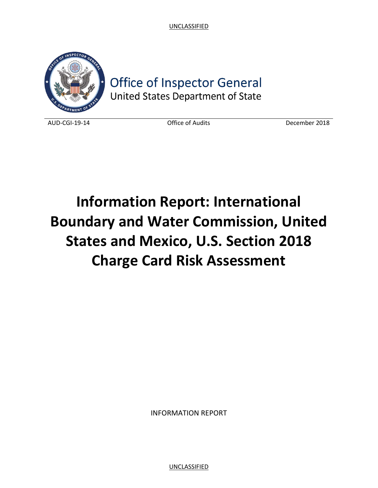

**Office of Inspector General** United States Department of State

AUD-CGI-19-14 Office of Audits December 2018

# **Information Report: International Boundary and Water Commission, United States and Mexico, U.S. Section 2018 Charge Card Risk Assessment**

INFORMATION REPORT

UNCLASSIFIED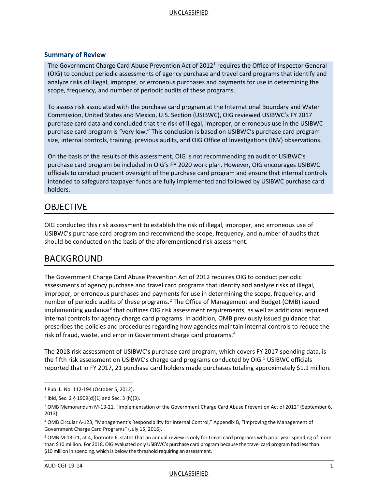#### **Summary of Review**

The Government Charge Card Abuse Prevention Act of 20[1](#page-1-0)2<sup>1</sup> requires the Office of Inspector General (OIG) to conduct periodic assessments of agency purchase and travel card programs that identify and analyze risks of illegal, improper, or erroneous purchases and payments for use in determining the scope, frequency, and number of periodic audits of these programs.

To assess risk associated with the purchase card program at the International Boundary and Water Commission, United States and Mexico, U.S. Section (USIBWC), OIG reviewed USIBWC's FY 2017 purchase card data and concluded that the risk of illegal, improper, or erroneous use in the USIBWC purchase card program is "very low." This conclusion is based on USIBWC's purchase card program size, internal controls, training, previous audits, and OIG Office of Investigations (INV) observations.

On the basis of the results of this assessment, OIG is not recommending an audit of USIBWC's purchase card program be included in OIG's FY 2020 work plan. However, OIG encourages USIBWC officials to conduct prudent oversight of the purchase card program and ensure that internal controls intended to safeguard taxpayer funds are fully implemented and followed by USIBWC purchase card holders.

## OBJECTIVE

OIG conducted this risk assessment to establish the risk of illegal, improper, and erroneous use of USIBWC's purchase card program and recommend the scope, frequency, and number of audits that should be conducted on the basis of the aforementioned risk assessment.

## BACKGROUND

The Government Charge Card Abuse Prevention Act of 2012 requires OIG to conduct periodic assessments of agency purchase and travel card programs that identify and analyze risks of illegal, improper, or erroneous purchases and payments for use in determining the scope, frequency, and number of periodic audits of these programs.<sup>[2](#page-1-1)</sup> The Office of Management and Budget (OMB) issued implementing guidance<sup>[3](#page-1-2)</sup> that outlines OIG risk assessment requirements, as well as additional required internal controls for agency charge card programs. In addition, OMB previously issued guidance that prescribes the policies and procedures regarding how agencies maintain internal controls to reduce the risk of fraud, waste, and error in Government charge card programs.<sup>[4](#page-1-3)</sup>

The 2018 risk assessment of USIBWC's purchase card program, which covers FY 2017 spending data, is the fifth risk assessment on USIBWC's charge card programs conducted by  $OIG.<sup>5</sup>$  $OIG.<sup>5</sup>$  $OIG.<sup>5</sup>$  USIBWC officials reported that in FY 2017, 21 purchase card holders made purchases totaling approximately \$1.1 million.

<span id="page-1-0"></span> <sup>1</sup> Pub. L. No. 112-194 (October 5, 2012).

<span id="page-1-1"></span> $2$  Ibid, Sec. 2 § 1909(d)(1) and Sec. 3 (h)(3).

<span id="page-1-2"></span><sup>3</sup> OMB Memorandum M-13-21, "Implementation of the Government Charge Card Abuse Prevention Act of 2012" (September 6, 2013).

<span id="page-1-3"></span><sup>4</sup> OMB Circular A-123, "Management's Responsibility for Internal Control," Appendix B, "Improving the Management of Government Charge Card Programs" (July 15, 2016).

<span id="page-1-4"></span><sup>5</sup> OMB M-13-21, at 4, footnote 6, states that an annual review is only for travel card programs with prior year spending of more than \$10 million. For 2018, OIG evaluated only USIBWC's purchase card program because the travel card program had less than \$10 million in spending, which is below the threshold requiring an assessment.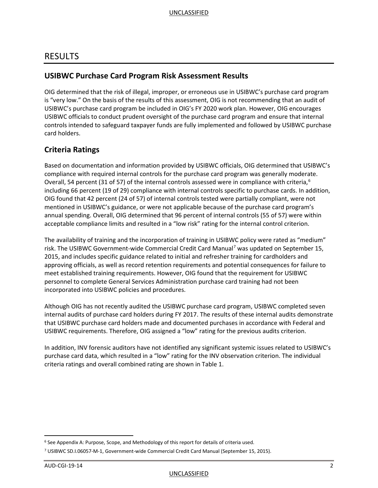## RESULTS

## **USIBWC Purchase Card Program Risk Assessment Results**

OIG determined that the risk of illegal, improper, or erroneous use in USIBWC's purchase card program is "very low." On the basis of the results of this assessment, OIG is not recommending that an audit of USIBWC's purchase card program be included in OIG's FY 2020 work plan. However, OIG encourages USIBWC officials to conduct prudent oversight of the purchase card program and ensure that internal controls intended to safeguard taxpayer funds are fully implemented and followed by USIBWC purchase card holders.

## **Criteria Ratings**

Based on documentation and information provided by USIBWC officials, OIG determined that USIBWC's compliance with required internal controls for the purchase card program was generally moderate. Overall, 54 percent (31 of 57) of the internal controls assessed were in compliance with criteria,<sup>[6](#page-2-0)</sup> including 66 percent (19 of 29) compliance with internal controls specific to purchase cards. In addition, OIG found that 42 percent (24 of 57) of internal controls tested were partially compliant, were not mentioned in USIBWC's guidance, or were not applicable because of the purchase card program's annual spending. Overall, OIG determined that 96 percent of internal controls (55 of 57) were within acceptable compliance limits and resulted in a "low risk" rating for the internal control criterion.

The availability of training and the incorporation of training in USIBWC policy were rated as "medium" risk. The USIBWC Government-wide Commercial Credit Card Manual<sup>[7](#page-2-1)</sup> was updated on September 15, 2015, and includes specific guidance related to initial and refresher training for cardholders and approving officials, as well as record retention requirements and potential consequences for failure to meet established training requirements. However, OIG found that the requirement for USIBWC personnel to complete General Services Administration purchase card training had not been incorporated into USIBWC policies and procedures.

Although OIG has not recently audited the USIBWC purchase card program, USIBWC completed seven internal audits of purchase card holders during FY 2017. The results of these internal audits demonstrate that USIBWC purchase card holders made and documented purchases in accordance with Federal and USIBWC requirements. Therefore, OIG assigned a "low" rating for the previous audits criterion.

In addition, INV forensic auditors have not identified any significant systemic issues related to USIBWC's purchase card data, which resulted in a "low" rating for the INV observation criterion. The individual criteria ratings and overall combined rating are shown in Table 1.

<span id="page-2-0"></span> $6$  See Appendix A: Purpose, Scope, and Methodology of this report for details of criteria used.

<span id="page-2-1"></span><sup>7</sup> USIBWC SD.I.06057-M-1, Government-wide Commercial Credit Card Manual (September 15, 2015).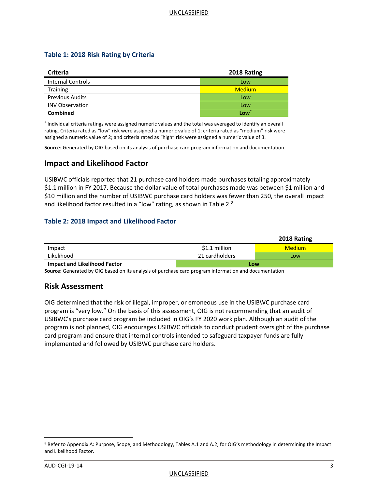#### **Table 1: 2018 Risk Rating by Criteria**

| <b>Criteria</b>          | 2018 Rating   |
|--------------------------|---------------|
| <b>Internal Controls</b> | Low           |
| <b>Training</b>          | <b>Medium</b> |
| <b>Previous Audits</b>   | Low           |
| <b>INV Observation</b>   | Low           |
| <b>Combined</b>          | Low           |

\* Individual criteria ratings were assigned numeric values and the total was averaged to identify an overall rating. Criteria rated as "low" risk were assigned a numeric value of 1; criteria rated as "medium" risk were assigned a numeric value of 2; and criteria rated as "high" risk were assigned a numeric value of 3.

**Source:** Generated by OIG based on its analysis of purchase card program information and documentation.

## **Impact and Likelihood Factor**

USIBWC officials reported that 21 purchase card holders made purchases totaling approximately \$1.1 million in FY 2017. Because the dollar value of total purchases made was between \$1 million and \$10 million and the number of USIBWC purchase card holders was fewer than 250, the overall impact and likelihood factor resulted in a "low" rating, as shown in Table 2.<sup>[8](#page-3-0)</sup>

#### **Table 2: 2018 Impact and Likelihood Factor**

|                                     |                | 2018 Rating   |  |
|-------------------------------------|----------------|---------------|--|
| Impact                              | $$1.1$ million | <b>Medium</b> |  |
| Likelihood                          | 21 cardholders | Low           |  |
| <b>Impact and Likelihood Factor</b> |                | Low           |  |

**Source:** Generated by OIG based on its analysis of purchase card program information and documentation

#### **Risk Assessment**

OIG determined that the risk of illegal, improper, or erroneous use in the USIBWC purchase card program is "very low." On the basis of this assessment, OIG is not recommending that an audit of USIBWC's purchase card program be included in OIG's FY 2020 work plan. Although an audit of the program is not planned, OIG encourages USIBWC officials to conduct prudent oversight of the purchase card program and ensure that internal controls intended to safeguard taxpayer funds are fully implemented and followed by USIBWC purchase card holders.

<span id="page-3-0"></span><sup>8</sup> Refer to Appendix A: Purpose, Scope, and Methodology, Tables A.1 and A.2, for OIG's methodology in determining the Impact and Likelihood Factor.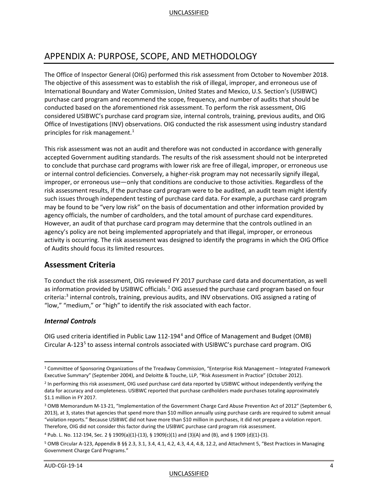## APPENDIX A: PURPOSE, SCOPE, AND METHODOLOGY

The Office of Inspector General (OIG) performed this risk assessment from October to November 2018. The objective of this assessment was to establish the risk of illegal, improper, and erroneous use of International Boundary and Water Commission, United States and Mexico, U.S. Section's (USIBWC) purchase card program and recommend the scope, frequency, and number of audits that should be conducted based on the aforementioned risk assessment. To perform the risk assessment, OIG considered USIBWC's purchase card program size, internal controls, training, previous audits, and OIG Office of Investigations (INV) observations. OIG conducted the risk assessment using industry standard principles for risk management. $1$ 

This risk assessment was not an audit and therefore was not conducted in accordance with generally accepted Government auditing standards. The results of the risk assessment should not be interpreted to conclude that purchase card programs with lower risk are free of illegal, improper, or erroneous use or internal control deficiencies. Conversely, a higher-risk program may not necessarily signify illegal, improper, or erroneous use—only that conditions are conducive to those activities. Regardless of the risk assessment results, if the purchase card program were to be audited, an audit team might identify such issues through independent testing of purchase card data. For example, a purchase card program may be found to be "very low risk" on the basis of documentation and other information provided by agency officials, the number of cardholders, and the total amount of purchase card expenditures. However, an audit of that purchase card program may determine that the controls outlined in an agency's policy are not being implemented appropriately and that illegal, improper, or erroneous activity is occurring. The risk assessment was designed to identify the programs in which the OIG Office of Audits should focus its limited resources.

## **Assessment Criteria**

To conduct the risk assessment, OIG reviewed FY 2017 purchase card data and documentation, as well as information provided by USIBWC officials.<sup>[2](#page-4-1)</sup> OIG assessed the purchase card program based on four criteria:[3](#page-4-2) internal controls, training, previous audits, and INV observations. OIG assigned a rating of "low," "medium," or "high" to identify the risk associated with each factor.

#### *Internal Controls*

OIG used criteria identified in Public Law 112-194[4](#page-4-3) and Office of Management and Budget (OMB) Circular A-123<sup>[5](#page-4-4)</sup> to assess internal controls associated with USIBWC's purchase card program. OIG

#### UNCLASSIFIED

<span id="page-4-0"></span> <sup>1</sup> Committee of Sponsoring Organizations of the Treadway Commission, "Enterprise Risk Management – Integrated Framework Executive Summary" (September 2004), and Deloitte & Touche, LLP, "Risk Assessment in Practice" (October 2012).

<span id="page-4-1"></span><sup>&</sup>lt;sup>2</sup> In performing this risk assessment, OIG used purchase card data reported by USIBWC without independently verifying the data for accuracy and completeness. USIBWC reported that purchase cardholders made purchases totaling approximately \$1.1 million in FY 2017.

<span id="page-4-2"></span><sup>3</sup> OMB Memorandum M-13-21, "Implementation of the Government Charge Card Abuse Prevention Act of 2012" (September 6, 2013), at 3, states that agencies that spend more than \$10 million annually using purchase cards are required to submit annual "violation reports." Because USIBWC did not have more than \$10 million in purchases, it did not prepare a violation report. Therefore, OIG did not consider this factor during the USIBWC purchase card program risk assessment.

<span id="page-4-3"></span><sup>4</sup> Pub. L. No. 112-194, Sec. 2 § 1909(a)(1)-(13), § 1909(c)(1) and (3)(A) and (B), and § 1909 (d)(1)-(3).

<span id="page-4-4"></span><sup>5</sup> OMB Circular A-123, Appendix B §§ 2.3, 3.1, 3.4, 4.1, 4.2, 4.3, 4.4, 4.8, 12.2, and Attachment 5, "Best Practices in Managing Government Charge Card Programs."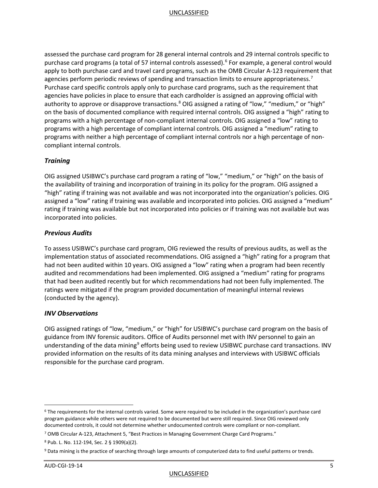assessed the purchase card program for 28 general internal controls and 29 internal controls specific to purchase card programs (a total of 57 internal controls assessed).<sup>[6](#page-5-0)</sup> For example, a general control would apply to both purchase card and travel card programs, such as the OMB Circular A-123 requirement that agencies perform periodic reviews of spending and transaction limits to ensure appropriateness.<sup>[7](#page-5-1)</sup> Purchase card specific controls apply only to purchase card programs, such as the requirement that agencies have policies in place to ensure that each cardholder is assigned an approving official with authority to approve or disapprove transactions.<sup>8</sup> OIG assigned a rating of "low," "medium," or "high" on the basis of documented compliance with required internal controls. OIG assigned a "high" rating to programs with a high percentage of non-compliant internal controls. OIG assigned a "low" rating to programs with a high percentage of compliant internal controls. OIG assigned a "medium" rating to programs with neither a high percentage of compliant internal controls nor a high percentage of noncompliant internal controls.

#### *Training*

OIG assigned USIBWC's purchase card program a rating of "low," "medium," or "high" on the basis of the availability of training and incorporation of training in its policy for the program. OIG assigned a "high" rating if training was not available and was not incorporated into the organization's policies. OIG assigned a "low" rating if training was available and incorporated into policies. OIG assigned a "medium" rating if training was available but not incorporated into policies or if training was not available but was incorporated into policies.

#### *Previous Audits*

To assess USIBWC's purchase card program, OIG reviewed the results of previous audits, as well as the implementation status of associated recommendations. OIG assigned a "high" rating for a program that had not been audited within 10 years. OIG assigned a "low" rating when a program had been recently audited and recommendations had been implemented. OIG assigned a "medium" rating for programs that had been audited recently but for which recommendations had not been fully implemented. The ratings were mitigated if the program provided documentation of meaningful internal reviews (conducted by the agency).

#### *INV Observations*

OIG assigned ratings of "low, "medium," or "high" for USIBWC's purchase card program on the basis of guidance from INV forensic auditors. Office of Audits personnel met with INV personnel to gain an understanding of the data mining<sup>[9](#page-5-3)</sup> efforts being used to review USIBWC purchase card transactions. INV provided information on the results of its data mining analyses and interviews with USIBWC officials responsible for the purchase card program.

<span id="page-5-0"></span> <sup>6</sup> The requirements for the internal controls varied. Some were required to be included in the organization's purchase card program guidance while others were not required to be documented but were still required. Since OIG reviewed only documented controls, it could not determine whether undocumented controls were compliant or non-compliant.

<span id="page-5-1"></span><sup>7</sup> OMB Circular A-123, Attachment 5, "Best Practices in Managing Government Charge Card Programs."

<span id="page-5-2"></span><sup>8</sup> Pub. L. No. 112-194, Sec. 2 § 1909(a)(2).

<span id="page-5-3"></span><sup>9</sup> Data mining is the practice of searching through large amounts of computerized data to find useful patterns or trends.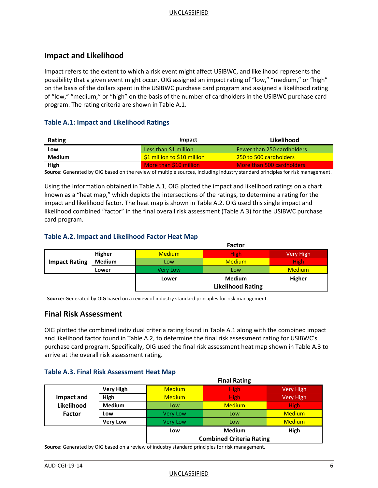## **Impact and Likelihood**

Impact refers to the extent to which a risk event might affect USIBWC, and likelihood represents the possibility that a given event might occur. OIG assigned an impact rating of "low," "medium," or "high" on the basis of the dollars spent in the USIBWC purchase card program and assigned a likelihood rating of "low," "medium," or "high" on the basis of the number of cardholders in the USIBWC purchase card program. The rating criteria are shown in Table A.1.

#### **Table A.1: Impact and Likelihood Ratings**

| Rating        | Impact                      | Likelihood                 |
|---------------|-----------------------------|----------------------------|
| Low           | Less than \$1 million       | Fewer than 250 cardholders |
| <b>Medium</b> | \$1 million to \$10 million | 1250 to 500 cardholders    |
| High          | More than \$10 million      | More than 500 cardholders  |

**Source:** Generated by OIG based on the review of multiple sources, including industry standard principles for risk management.

Using the information obtained in Table A.1, OIG plotted the impact and likelihood ratings on a chart known as a "heat map," which depicts the intersections of the ratings, to determine a rating for the impact and likelihood factor. The heat map is shown in Table A.2. OIG used this single impact and likelihood combined "factor" in the final overall risk assessment (Table A.3) for the USIBWC purchase card program.

#### **Table A.2. Impact and Likelihood Factor Heat Map**

|                      |               | <b>Factor</b>            |               |               |
|----------------------|---------------|--------------------------|---------------|---------------|
|                      | Higher        | <b>Medium</b>            | <b>High</b>   | Very High     |
| <b>Impact Rating</b> | <b>Medium</b> | Low                      | <b>Medium</b> | <b>High</b>   |
|                      | Lower         | Very Low                 | Low           | <b>Medium</b> |
|                      |               | Lower                    | <b>Medium</b> | <b>Higher</b> |
|                      |               | <b>Likelihood Rating</b> |               |               |

**Source:** Generated by OIG based on a review of industry standard principles for risk management.

## **Final Risk Assessment**

OIG plotted the combined individual criteria rating found in Table A.1 along with the combined impact and likelihood factor found in Table A.2, to determine the final risk assessment rating for USIBWC's purchase card program. Specifically, OIG used the final risk assessment heat map shown in Table A.3 to arrive at the overall risk assessment rating.

#### **Table A.3. Final Risk Assessment Heat Map**

|               |                  |                                 | <b>Final Rating</b> |                  |
|---------------|------------------|---------------------------------|---------------------|------------------|
|               | <b>Very High</b> | <b>Medium</b>                   | <b>High</b>         | Very High        |
| Impact and    | High             | <b>Medium</b>                   | <b>High</b>         | <b>Very High</b> |
| Likelihood    | <b>Medium</b>    | Low                             | <b>Medium</b>       | <b>High</b>      |
| <b>Factor</b> | Low              | <b>Very Low</b>                 | Low                 | <b>Medium</b>    |
|               | <b>Very Low</b>  | <b>Very Low</b>                 | Low                 | <b>Medium</b>    |
|               |                  | Low                             | <b>Medium</b>       | High             |
|               |                  | <b>Combined Criteria Rating</b> |                     |                  |

**Source:** Generated by OIG based on a review of industry standard principles for risk management.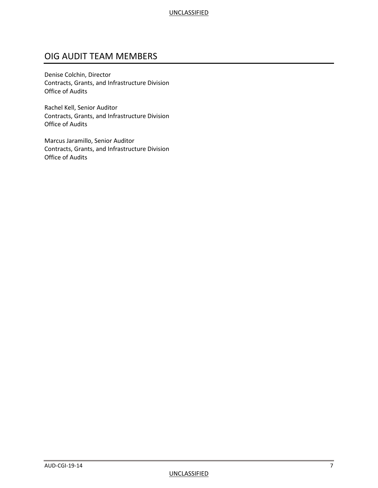## OIG AUDIT TEAM MEMBERS

Denise Colchin, Director Contracts, Grants, and Infrastructure Division Office of Audits

Rachel Kell, Senior Auditor Contracts, Grants, and Infrastructure Division Office of Audits

Marcus Jaramillo, Senior Auditor Contracts, Grants, and Infrastructure Division Office of Audits